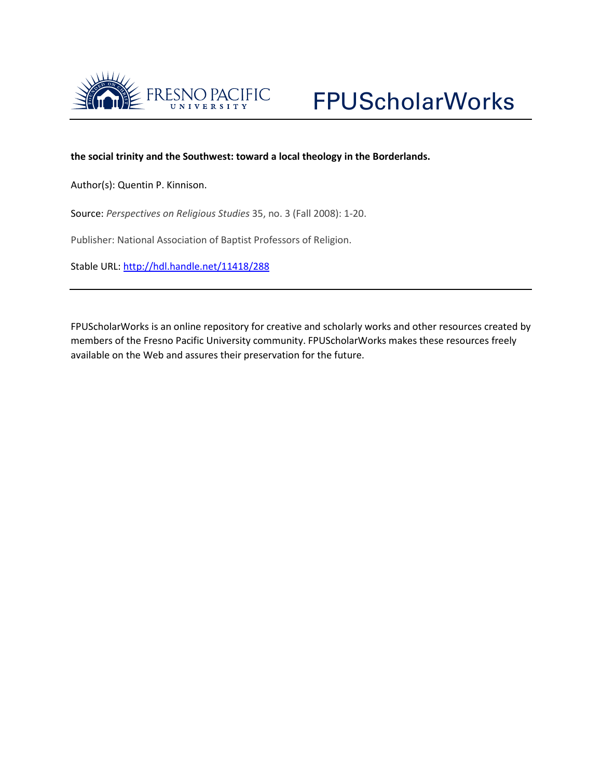

# **the social trinity and the Southwest: toward a local theology in the Borderlands.**

Author(s): Quentin P. Kinnison.

Source: *Perspectives on Religious Studies* 35, no. 3 (Fall 2008): 1-20.

Publisher: National Association of Baptist Professors of Religion.

Stable URL:<http://hdl.handle.net/11418/288>

FPUScholarWorks is an online repository for creative and scholarly works and other resources created by members of the Fresno Pacific University community. FPUScholarWorks makes these resources freely available on the Web and assures their preservation for the future.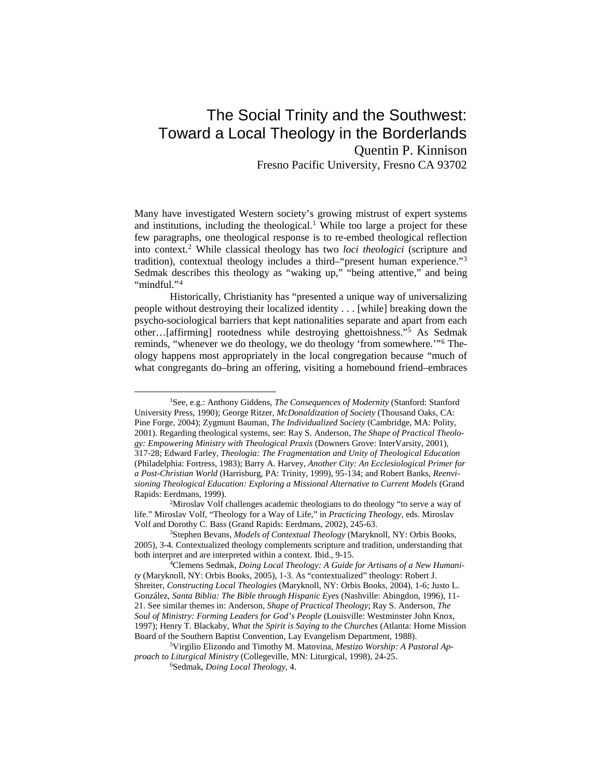# The Social Trinity and the Southwest: Toward a Local Theology in the Borderlands Quentin P. Kinnison

Fresno Pacific University, Fresno CA 93702

Many have investigated Western society's growing mistrust of expert systems and institutions, including the theological.<sup>[1](#page-1-0)</sup> While too large a project for these few paragraphs, one theological response is to re-embed theological reflection into context.[2](#page-1-1) While classical theology has two *loci theologici* (scripture and tradition), contextual theology includes a third–"present human experience."[3](#page-1-2) Sedmak describes this theology as "waking up," "being attentive," and being "mindful."<sup>[4](#page-1-3)</sup>

Historically, Christianity has "presented a unique way of universalizing people without destroying their localized identity . . . [while] breaking down the psycho-sociological barriers that kept nationalities separate and apart from each other…[affirming] rootedness while destroying ghettoishness."[5](#page-1-4) As Sedmak reminds, "whenever we do theology, we do theology 'from somewhere.'"[6](#page-1-5) Theology happens most appropriately in the local congregation because "much of what congregants do–bring an offering, visiting a homebound friend–embraces

<span id="page-1-0"></span> <sup>1</sup>See, e.g.: Anthony Giddens, *The Consequences of Modernity* (Stanford: Stanford University Press, 1990); George Ritzer, *McDonaldization of Society* (Thousand Oaks, CA: Pine Forge, 2004); Zygmunt Bauman, *The Individualized Society* (Cambridge, MA: Polity, 2001). Regarding theological systems, see: Ray S. Anderson, *The Shape of Practical Theology: Empowering Ministry with Theological Praxis* (Downers Grove: InterVarsity, 2001), 317-28; Edward Farley, *Theologia: The Fragmentation and Unity of Theological Education* (Philadelphia: Fortress, 1983); Barry A. Harvey, *Another City: An Ecclesiological Primer for a Post-Christian World* (Harrisburg, PA: Trinity, 1999), 95-134; and Robert Banks, *Reenvisioning Theological Education: Exploring a Missional Alternative to Current Models* (Grand Rapids: Eerdmans, 1999).

<span id="page-1-1"></span><sup>&</sup>lt;sup>2</sup>Miroslav Volf challenges academic theologians to do theology "to serve a way of life." Miroslav Volf, "Theology for a Way of Life," in *Practicing Theology*, eds. Miroslav Volf and Dorothy C. Bass (Grand Rapids: Eerdmans, 2002), 245-63.

<span id="page-1-2"></span><sup>3</sup>Stephen Bevans, *Models of Contextual Theology* (Maryknoll, NY: Orbis Books, 2005), 3-4. Contextualized theology complements scripture and tradition, understanding that both interpret and are interpreted within a context. Ibid., 9-15.

<span id="page-1-3"></span><sup>4</sup>Clemens Sedmak, *Doing Local Theology: A Guide for Artisans of a New Humanity* (Maryknoll, NY: Orbis Books, 2005), 1-3. As "contextualized" theology: Robert J. Shreiter, *Constructing Local Theologies* (Maryknoll, NY: Orbis Books, 2004), 1-6; Justo L. González, *Santa Biblia: The Bible through Hispanic Eyes* (Nashville: Abingdon, 1996), 11- 21. See similar themes in: Anderson, *Shape of Practical Theology*; Ray S. Anderson, *The Soul of Ministry: Forming Leaders for God's People* (Louisville: Westminster John Knox, 1997); Henry T. Blackaby, *What the Spirit is Saying to the Churches* (Atlanta: Home Mission Board of the Southern Baptist Convention, Lay Evangelism Department, 1988).

<span id="page-1-5"></span><span id="page-1-4"></span><sup>5</sup>Virgilio Elizondo and Timothy M. Matovina, *Mestizo Worship: A Pastoral Approach to Liturgical Ministry* (Collegeville, MN: Liturgical, 1998), 24-25.

<sup>6</sup>Sedmak, *Doing Local Theology*, 4.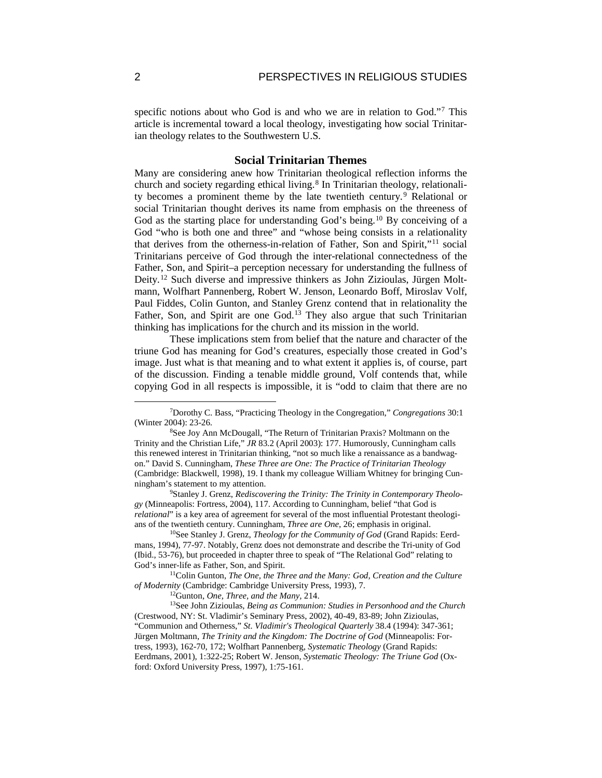specific notions about who God is and who we are in relation to God."<sup>[7](#page-2-0)</sup> This article is incremental toward a local theology, investigating how social Trinitarian theology relates to the Southwestern U.S.

## **Social Trinitarian Themes**

Many are considering anew how Trinitarian theological reflection informs the church and society regarding ethical living.<sup>[8](#page-2-1)</sup> In Trinitarian theology, relationality becomes a prominent theme by the late twentieth century.[9](#page-2-2) Relational or social Trinitarian thought derives its name from emphasis on the threeness of God as the starting place for understanding God's being.<sup>[10](#page-2-3)</sup> By conceiving of a God "who is both one and three" and "whose being consists in a relationality that derives from the otherness-in-relation of Father, Son and Spirit,"[11](#page-2-4) social Trinitarians perceive of God through the inter-relational connectedness of the Father, Son, and Spirit–a perception necessary for understanding the fullness of Deity.[12](#page-2-5) Such diverse and impressive thinkers as John Zizioulas, Jürgen Moltmann, Wolfhart Pannenberg, Robert W. Jenson, Leonardo Boff, Miroslav Volf, Paul Fiddes, Colin Gunton, and Stanley Grenz contend that in relationality the Father, Son, and Spirit are one God.<sup>[13](#page-2-6)</sup> They also argue that such Trinitarian thinking has implications for the church and its mission in the world.

These implications stem from belief that the nature and character of the triune God has meaning for God's creatures, especially those created in God's image. Just what is that meaning and to what extent it applies is, of course, part of the discussion. Finding a tenable middle ground, Volf contends that, while copying God in all respects is impossible, it is "odd to claim that there are no

<span id="page-2-2"></span>9Stanley J. Grenz, *Rediscovering the Trinity: The Trinity in Contemporary Theology* (Minneapolis: Fortress, 2004), 117. According to Cunningham, belief "that God is *relational*" is a key area of agreement for several of the most influential Protestant theologians of the twentieth century. Cunningham, *Three are One*, 26; emphasis in original.

<span id="page-2-3"></span>10See Stanley J. Grenz, *Theology for the Community of God* (Grand Rapids: Eerdmans, 1994), 77-97. Notably, Grenz does not demonstrate and describe the Tri-unity of God (Ibid., 53-76), but proceeded in chapter three to speak of "The Relational God" relating to God's inner-life as Father, Son, and Spirit.

<span id="page-2-4"></span>11Colin Gunton, *The One, the Three and the Many: God, Creation and the Culture of Modernity* (Cambridge: Cambridge University Press, 1993), 7.

12Gunton, *One, Three, and the Many,* 214.

<span id="page-2-6"></span><span id="page-2-5"></span>13See John Zizioulas, *Being as Communion: Studies in Personhood and the Church*  (Crestwood, NY: St. Vladimir's Seminary Press, 2002), 40-49, 83-89; John Zizioulas, "Communion and Otherness," *St. Vladimir's Theological Quarterly* 38.4 (1994): 347-361; Jürgen Moltmann, *The Trinity and the Kingdom: The Doctrine of God* (Minneapolis: Fortress, 1993), 162-70, 172; Wolfhart Pannenberg, *Systematic Theology* (Grand Rapids: Eerdmans, 2001), 1:322-25; Robert W. Jenson, *Systematic Theology: The Triune God* (Oxford: Oxford University Press, 1997), 1:75-161.

<span id="page-2-0"></span> <sup>7</sup>Dorothy C. Bass, "Practicing Theology in the Congregation," *Congregations* 30:1 (Winter 2004): 23-26.

<span id="page-2-1"></span><sup>&</sup>lt;sup>8</sup>See Joy Ann McDougall, "The Return of Trinitarian Praxis? Moltmann on the Trinity and the Christian Life," *JR* 83.2 (April 2003): 177. Humorously, Cunningham calls this renewed interest in Trinitarian thinking, "not so much like a renaissance as a bandwagon." David S. Cunningham, *These Three are One: The Practice of Trinitarian Theology* (Cambridge: Blackwell, 1998), 19. I thank my colleague William Whitney for bringing Cunningham's statement to my attention.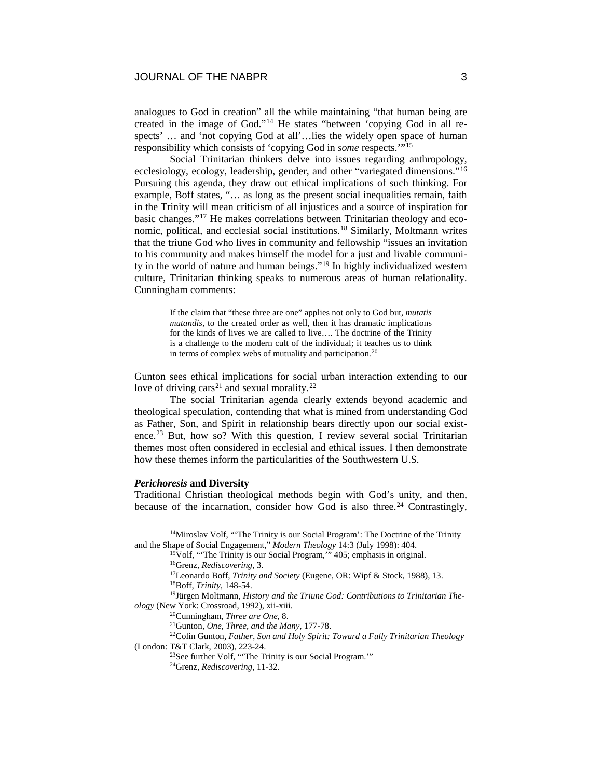analogues to God in creation" all the while maintaining "that human being are created in the image of God."[14](#page-3-0) He states "between 'copying God in all respects' ... and 'not copying God at all'...lies the widely open space of human responsibility which consists of 'copying God in *some* respects.'"[15](#page-3-1)

Social Trinitarian thinkers delve into issues regarding anthropology, ecclesiology, ecology, leadership, gender, and other "variegated dimensions."[16](#page-3-2) Pursuing this agenda, they draw out ethical implications of such thinking. For example, Boff states, "… as long as the present social inequalities remain, faith in the Trinity will mean criticism of all injustices and a source of inspiration for basic changes."[17](#page-3-3) He makes correlations between Trinitarian theology and economic, political, and ecclesial social institutions.[18](#page-3-4) Similarly, Moltmann writes that the triune God who lives in community and fellowship "issues an invitation to his community and makes himself the model for a just and livable community in the world of nature and human beings."[19](#page-3-5) In highly individualized western culture, Trinitarian thinking speaks to numerous areas of human relationality. Cunningham comments:

> If the claim that "these three are one" applies not only to God but, *mutatis mutandis*, to the created order as well, then it has dramatic implications for the kinds of lives we are called to live…. The doctrine of the Trinity is a challenge to the modern cult of the individual; it teaches us to think in terms of complex webs of mutuality and participation.[20](#page-3-6)

Gunton sees ethical implications for social urban interaction extending to our love of driving cars<sup>[21](#page-3-7)</sup> and sexual morality.<sup>[22](#page-3-8)</sup>

The social Trinitarian agenda clearly extends beyond academic and theological speculation, contending that what is mined from understanding God as Father, Son, and Spirit in relationship bears directly upon our social exist-ence.<sup>[23](#page-3-9)</sup> But, how so? With this question, I review several social Trinitarian themes most often considered in ecclesial and ethical issues. I then demonstrate how these themes inform the particularities of the Southwestern U.S.

## *Perichoresis* **and Diversity**

Traditional Christian theological methods begin with God's unity, and then, because of the incarnation, consider how God is also three.<sup>[24](#page-3-10)</sup> Contrastingly,

<span id="page-3-2"></span><span id="page-3-1"></span><span id="page-3-0"></span><sup>&</sup>lt;sup>14</sup>Miroslav Volf, "The Trinity is our Social Program': The Doctrine of the Trinity and the Shape of Social Engagement," *Modern Theology* 14:3 (July 1998): 404. 15Volf, "'The Trinity is our Social Program,'" 405; emphasis in original.

<sup>16</sup>Grenz, *Rediscovering*, 3.

<sup>17</sup>Leonardo Boff, *Trinity and Society* (Eugene, OR: Wipf & Stock, 1988), 13.

<sup>18</sup>Boff, *Trinity*, 148-54.

<span id="page-3-5"></span><span id="page-3-4"></span><span id="page-3-3"></span><sup>19</sup>Jürgen Moltmann, *History and the Triune God: Contributions to Trinitarian Theology* (New York: Crossroad, 1992), xii-xiii.

<sup>20</sup>Cunningham, *Three are One*, 8.

<sup>21</sup>Gunton, *One, Three, and the Many*, 177-78.

<span id="page-3-10"></span><span id="page-3-9"></span><span id="page-3-8"></span><span id="page-3-7"></span><span id="page-3-6"></span><sup>22</sup>Colin Gunton, *Father, Son and Holy Spirit: Toward a Fully Trinitarian Theology* (London: T&T Clark, 2003), 223-24.

<sup>23</sup>See further Volf, "'The Trinity is our Social Program.'"

<sup>24</sup>Grenz, *Rediscovering*, 11-32.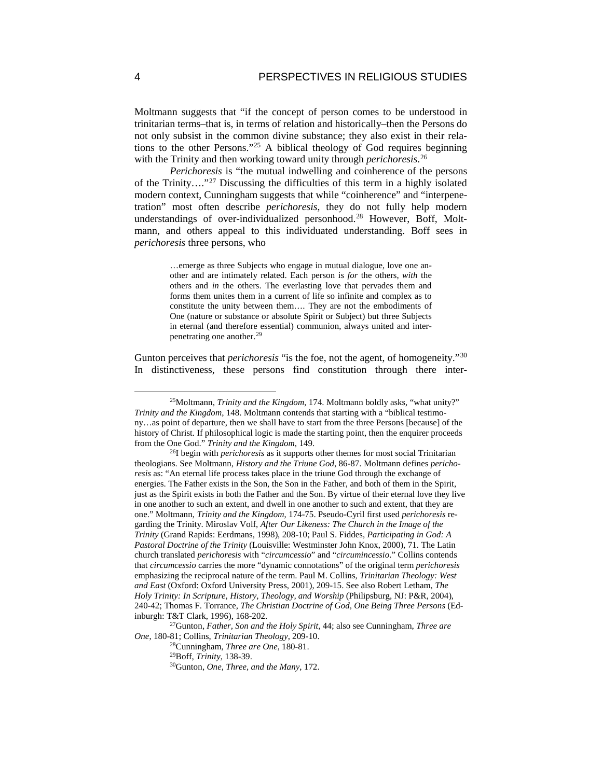Moltmann suggests that "if the concept of person comes to be understood in trinitarian terms–that is, in terms of relation and historically–then the Persons do not only subsist in the common divine substance; they also exist in their relations to the other Persons."[25](#page-4-0) A biblical theology of God requires beginning with the Trinity and then working toward unity through *perichoresis*. [26](#page-4-1)

*Perichoresis* is "the mutual indwelling and coinherence of the persons of the Trinity…."[27](#page-4-2) Discussing the difficulties of this term in a highly isolated modern context, Cunningham suggests that while "coinherence" and "interpenetration" most often describe *perichoresis*, they do not fully help modern understandings of over-individualized personhood.<sup>28</sup> However, Boff, Moltmann, and others appeal to this individuated understanding. Boff sees in *perichoresis* three persons, who

> …emerge as three Subjects who engage in mutual dialogue, love one another and are intimately related. Each person is *for* the others, *with* the others and *in* the others. The everlasting love that pervades them and forms them unites them in a current of life so infinite and complex as to constitute the unity between them…. They are not the embodiments of One (nature or substance or absolute Spirit or Subject) but three Subjects in eternal (and therefore essential) communion, always united and interpenetrating one another.[29](#page-4-4)

Gunton perceives that *perichoresis* "is the foe, not the agent, of homogeneity."<sup>[30](#page-4-5)</sup> In distinctiveness, these persons find constitution through there inter-

<span id="page-4-0"></span> <sup>25</sup>Moltmann, *Trinity and the Kingdom*, 174. Moltmann boldly asks, "what unity?" *Trinity and the Kingdom*, 148. Moltmann contends that starting with a "biblical testimony…as point of departure, then we shall have to start from the three Persons [because] of the history of Christ. If philosophical logic is made the starting point, then the enquirer proceeds from the One God." *Trinity and the Kingdom*, 149.

<span id="page-4-1"></span><sup>26</sup>I begin with *perichoresis* as it supports other themes for most social Trinitarian theologians. See Moltmann, *History and the Triune God*, 86-87. Moltmann defines *perichoresis* as: "An eternal life process takes place in the triune God through the exchange of energies. The Father exists in the Son, the Son in the Father, and both of them in the Spirit, just as the Spirit exists in both the Father and the Son. By virtue of their eternal love they live in one another to such an extent, and dwell in one another to such and extent, that they are one." Moltmann, *Trinity and the Kingdom*, 174-75. Pseudo-Cyril first used *perichoresis* regarding the Trinity. Miroslav Volf, *After Our Likeness: The Church in the Image of the Trinity* (Grand Rapids: Eerdmans, 1998), 208-10; Paul S. Fiddes, *Participating in God: A Pastoral Doctrine of the Trinity* (Louisville: Westminster John Knox, 2000), 71. The Latin church translated *perichoresis* with "*circumcessio*" and "*circumincessio*." Collins contends that *circumcessio* carries the more "dynamic connotations" of the original term *perichoresis* emphasizing the reciprocal nature of the term. Paul M. Collins, *Trinitarian Theology: West and East* (Oxford: Oxford University Press, 2001), 209-15. See also Robert Letham, *The Holy Trinity: In Scripture, History, Theology, and Worship* (Philipsburg, NJ: P&R, 2004), 240-42; Thomas F. Torrance, *The Christian Doctrine of God, One Being Three Persons* (Edinburgh: T&T Clark, 1996), 168-202.

<span id="page-4-5"></span><span id="page-4-4"></span><span id="page-4-3"></span><span id="page-4-2"></span><sup>27</sup>Gunton, *Father, Son and the Holy Spirit*, 44; also see Cunningham, *Three are One*, 180-81; Collins, *Trinitarian Theology*, 209-10.

<sup>28</sup>Cunningham, *Three are One*, 180-81.

<sup>&</sup>lt;sup>30</sup>Gunton, *One, Three, and the Many*, 172.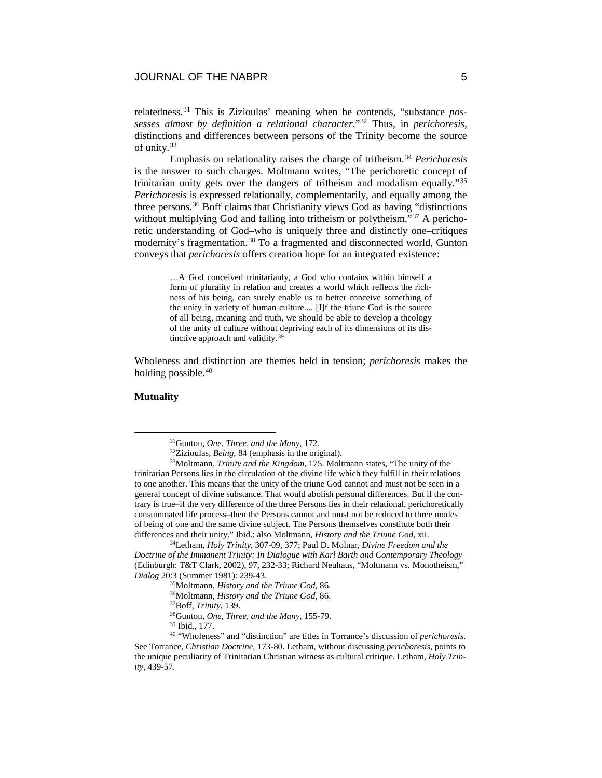relatedness.[31](#page-5-0) This is Zizioulas' meaning when he contends, "substance *possesses almost by definition a relational character*."[32](#page-5-1) Thus, in *perichoresis*, distinctions and differences between persons of the Trinity become the source of unity.[33](#page-5-2)

Emphasis on relationality raises the charge of tritheism.[34](#page-5-3) *Perichoresis* is the answer to such charges. Moltmann writes, "The perichoretic concept of trinitarian unity gets over the dangers of tritheism and modalism equally."[35](#page-5-4) *Perichoresis* is expressed relationally, complementarily, and equally among the three persons.[36](#page-5-5) Boff claims that Christianity views God as having "distinctions without multiplying God and falling into tritheism or polytheism."<sup>[37](#page-5-6)</sup> A perichoretic understanding of God–who is uniquely three and distinctly one–critiques modernity's fragmentation.<sup>[38](#page-5-7)</sup> To a fragmented and disconnected world, Gunton conveys that *perichoresis* offers creation hope for an integrated existence:

> …A God conceived trinitarianly, a God who contains within himself a form of plurality in relation and creates a world which reflects the richness of his being, can surely enable us to better conceive something of the unity in variety of human culture.... [I]f the triune God is the source of all being, meaning and truth, we should be able to develop a theology of the unity of culture without depriving each of its dimensions of its distinctive approach and validity.[39](#page-5-8)

Wholeness and distinction are themes held in tension; *perichoresis* makes the holding possible.<sup>[40](#page-5-9)</sup>

# **Mutuality**

 <sup>31</sup>Gunton, *One, Three, and the Many*, 172.

<sup>32</sup>Zizioulas, *Being*, 84 (emphasis in the original).

<span id="page-5-2"></span><span id="page-5-1"></span><span id="page-5-0"></span><sup>33</sup>Moltmann, *Trinity and the Kingdom*, 175. Moltmann states, "The unity of the trinitarian Persons lies in the circulation of the divine life which they fulfill in their relations to one another. This means that the unity of the triune God cannot and must not be seen in a general concept of divine substance. That would abolish personal differences. But if the contrary is true–if the very difference of the three Persons lies in their relational, perichoretically consummated life process–then the Persons cannot and must not be reduced to three modes of being of one and the same divine subject. The Persons themselves constitute both their differences and their unity." Ibid.; also Moltmann, *History and the Triune God*, xii.

<span id="page-5-4"></span><span id="page-5-3"></span><sup>34</sup>Letham, *Holy Trinity*, 307-09, 377; Paul D. Molnar, *Divine Freedom and the Doctrine of the Immanent Trinity: In Dialogue with Karl Barth and Contemporary Theology* (Edinburgh: T&T Clark, 2002), 97, 232-33; Richard Neuhaus, "Moltmann vs. Monotheism," *Dialog* 20:3 (Summer 1981): 239-43.

<sup>35</sup>Moltmann, *History and the Triune God*, 86.

<sup>36</sup>Moltmann, *History and the Triune God*, 86.

<sup>37</sup>Boff, *Trinity*, 139.

<sup>38</sup>Gunton, *One, Three, and the Many*, 155-79.

<sup>39</sup> Ibid., 177.

<span id="page-5-9"></span><span id="page-5-8"></span><span id="page-5-7"></span><span id="page-5-6"></span><span id="page-5-5"></span><sup>40</sup> "Wholeness" and "distinction" are titles in Torrance's discussion of *perichoresis*. See Torrance, *Christian Doctrine*, 173-80. Letham, without discussing *perichoresis*, points to the unique peculiarity of Trinitarian Christian witness as cultural critique. Letham, *Holy Trinity*, 439-57.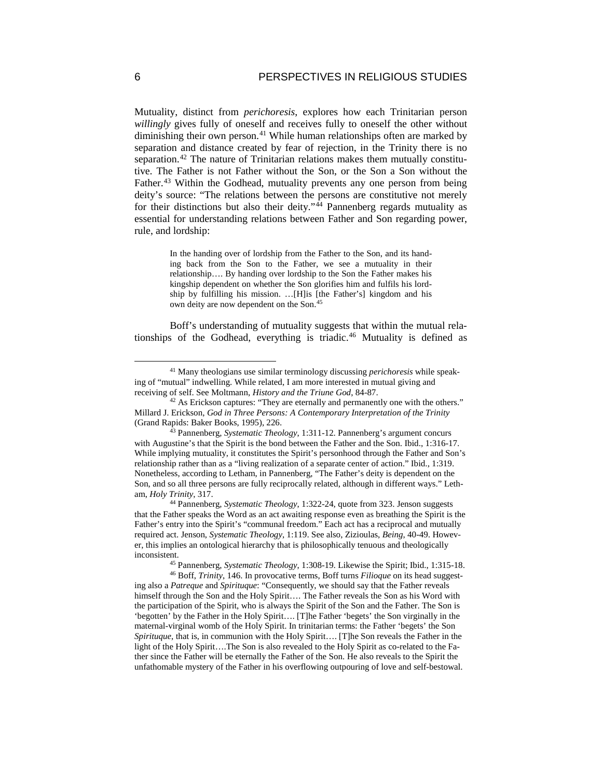Mutuality, distinct from *perichoresis*, explores how each Trinitarian person *willingly* gives fully of oneself and receives fully to oneself the other without diminishing their own person.<sup>[41](#page-6-0)</sup> While human relationships often are marked by separation and distance created by fear of rejection, in the Trinity there is no separation.<sup>[42](#page-6-1)</sup> The nature of Trinitarian relations makes them mutually constitutive. The Father is not Father without the Son, or the Son a Son without the Father.<sup>[43](#page-6-2)</sup> Within the Godhead, mutuality prevents any one person from being deity's source: "The relations between the persons are constitutive not merely for their distinctions but also their deity." $44$  Pannenberg regards mutuality as essential for understanding relations between Father and Son regarding power, rule, and lordship:

> In the handing over of lordship from the Father to the Son, and its handing back from the Son to the Father, we see a mutuality in their relationship…. By handing over lordship to the Son the Father makes his kingship dependent on whether the Son glorifies him and fulfils his lordship by fulfilling his mission. …[H]is [the Father's] kingdom and his own deity are now dependent on the Son.[45](#page-6-4)

Boff's understanding of mutuality suggests that within the mutual relationships of the Godhead, everything is triadic.[46](#page-6-5) Mutuality is defined as

<span id="page-6-3"></span><sup>44</sup> Pannenberg, *Systematic Theology*, 1:322-24, quote from 323. Jenson suggests that the Father speaks the Word as an act awaiting response even as breathing the Spirit is the Father's entry into the Spirit's "communal freedom." Each act has a reciprocal and mutually required act. Jenson, *Systematic Theology*, 1:119. See also, Zizioulas, *Being*, 40-49. However, this implies an ontological hierarchy that is philosophically tenuous and theologically inconsistent.

<sup>45</sup> Pannenberg, *Systematic Theology*, 1:308-19. Likewise the Spirit; Ibid., 1:315-18.

<span id="page-6-5"></span><span id="page-6-4"></span><sup>46</sup> Boff, *Trinity*, 146. In provocative terms, Boff turns *Filioque* on its head suggesting also a *Patreque* and *Spirituque*: "Consequently, we should say that the Father reveals himself through the Son and the Holy Spirit…. The Father reveals the Son as his Word with the participation of the Spirit, who is always the Spirit of the Son and the Father. The Son is 'begotten' by the Father in the Holy Spirit…. [T]he Father 'begets' the Son virginally in the maternal-virginal womb of the Holy Spirit. In trinitarian terms: the Father 'begets' the Son *Spirituque*, that is, in communion with the Holy Spirit…. [T]he Son reveals the Father in the light of the Holy Spirit….The Son is also revealed to the Holy Spirit as co-related to the Father since the Father will be eternally the Father of the Son. He also reveals to the Spirit the unfathomable mystery of the Father in his overflowing outpouring of love and self-bestowal.

<span id="page-6-0"></span> <sup>41</sup> Many theologians use similar terminology discussing *perichoresis* while speaking of "mutual" indwelling. While related, I am more interested in mutual giving and receiving of self. See Moltmann, *History and the Triune God*, 84-87.

<span id="page-6-1"></span><sup>&</sup>lt;sup>42</sup> As Erickson captures: "They are eternally and permanently one with the others." Millard J. Erickson, *God in Three Persons: A Contemporary Interpretation of the Trinity* (Grand Rapids: Baker Books, 1995), 226.

<span id="page-6-2"></span><sup>43</sup> Pannenberg, *Systematic Theology*, 1:311-12. Pannenberg's argument concurs with Augustine's that the Spirit is the bond between the Father and the Son. Ibid., 1:316-17. While implying mutuality, it constitutes the Spirit's personhood through the Father and Son's relationship rather than as a "living realization of a separate center of action." Ibid., 1:319. Nonetheless, according to Letham, in Pannenberg, "The Father's deity is dependent on the Son, and so all three persons are fully reciprocally related, although in different ways." Letham, *Holy Trinity*, 317.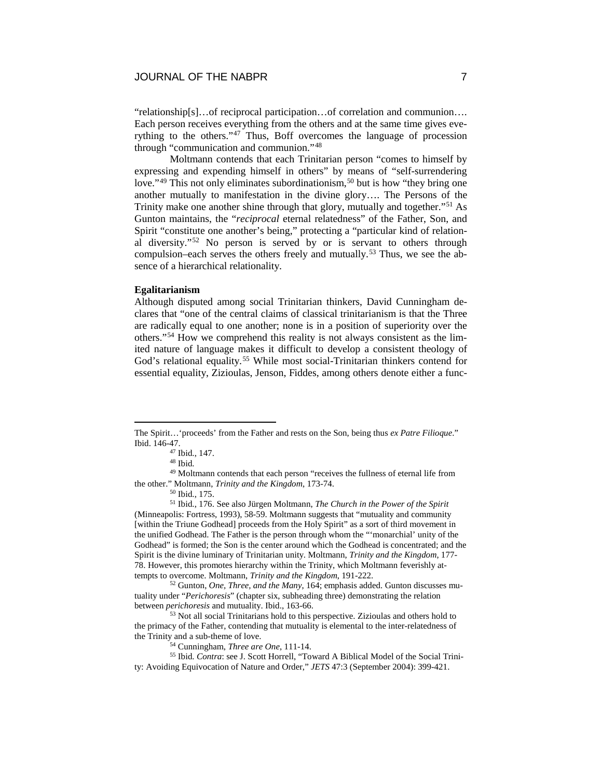"relationship[s]…of reciprocal participation…of correlation and communion…. Each person receives everything from the others and at the same time gives everything to the others."[47](#page-7-0) Thus, Boff overcomes the language of procession through "communication and communion."[48](#page-7-1)

Moltmann contends that each Trinitarian person "comes to himself by expressing and expending himself in others" by means of "self-surrendering love."<sup>[49](#page-7-2)</sup> This not only eliminates subordinationism,<sup>[50](#page-7-3)</sup> but is how "they bring one another mutually to manifestation in the divine glory…. The Persons of the Trinity make one another shine through that glory, mutually and together."[51](#page-7-4) As Gunton maintains, the "*reciprocal* eternal relatedness" of the Father, Son, and Spirit "constitute one another's being," protecting a "particular kind of relational diversity."[52](#page-7-5) No person is served by or is servant to others through compulsion–each serves the others freely and mutually.<sup>[53](#page-7-6)</sup> Thus, we see the absence of a hierarchical relationality.

### **Egalitarianism**

Although disputed among social Trinitarian thinkers, David Cunningham declares that "one of the central claims of classical trinitarianism is that the Three are radically equal to one another; none is in a position of superiority over the others."[54](#page-7-7) How we comprehend this reality is not always consistent as the limited nature of language makes it difficult to develop a consistent theology of God's relational equality.<sup>[55](#page-7-8)</sup> While most social-Trinitarian thinkers contend for essential equality, Zizioulas, Jenson, Fiddes, among others denote either a func-

<sup>50</sup> Ibid., 175.

<span id="page-7-4"></span><span id="page-7-3"></span><sup>51</sup> Ibid., 176. See also Jürgen Moltmann, *The Church in the Power of the Spirit* (Minneapolis: Fortress, 1993), 58-59. Moltmann suggests that "mutuality and community [within the Triune Godhead] proceeds from the Holy Spirit" as a sort of third movement in the unified Godhead. The Father is the person through whom the "'monarchial' unity of the Godhead" is formed; the Son is the center around which the Godhead is concentrated; and the Spirit is the divine luminary of Trinitarian unity. Moltmann, *Trinity and the Kingdom*, 177- 78. However, this promotes hierarchy within the Trinity, which Moltmann feverishly attempts to overcome. Moltmann, *Trinity and the Kingdom*, 191-222.

<span id="page-7-5"></span><sup>52</sup> Gunton, *One, Three, and the Many*, 164; emphasis added. Gunton discusses mutuality under "*Perichoresis*" (chapter six, subheading three) demonstrating the relation between *perichoresis* and mutuality. Ibid., 163-66.

<span id="page-7-6"></span><sup>53</sup> Not all social Trinitarians hold to this perspective. Zizioulas and others hold to the primacy of the Father, contending that mutuality is elemental to the inter-relatedness of the Trinity and a sub-theme of love.

<sup>54</sup> Cunningham, *Three are One*, 111-14.

<span id="page-7-8"></span><span id="page-7-7"></span><sup>55</sup> Ibid. *Contra*: see J. Scott Horrell, "Toward A Biblical Model of the Social Trinity: Avoiding Equivocation of Nature and Order," *JETS* 47:3 (September 2004): 399-421.

<span id="page-7-0"></span>The Spirit…'proceeds' from the Father and rests on the Son, being thus *ex Patre Filioque*." Ibid. 146-47.

<sup>47</sup> Ibid., 147.

<sup>48</sup> Ibid.

<span id="page-7-2"></span><span id="page-7-1"></span><sup>49</sup> Moltmann contends that each person "receives the fullness of eternal life from the other." Moltmann, *Trinity and the Kingdom*, 173-74.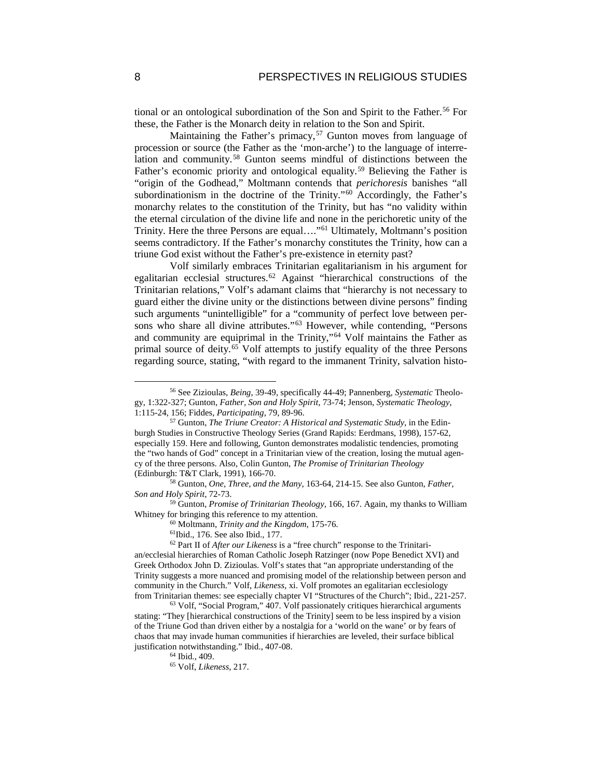tional or an ontological subordination of the Son and Spirit to the Father.<sup>[56](#page-8-0)</sup> For these, the Father is the Monarch deity in relation to the Son and Spirit.

Maintaining the Father's primacy,<sup>[57](#page-8-1)</sup> Gunton moves from language of procession or source (the Father as the 'mon-arche') to the language of interrelation and community.[58](#page-8-2) Gunton seems mindful of distinctions between the Father's economic priority and ontological equality.<sup>[59](#page-8-3)</sup> Believing the Father is "origin of the Godhead," Moltmann contends that *perichoresis* banishes "all subordinationism in the doctrine of the Trinity."<sup>[60](#page-8-4)</sup> Accordingly, the Father's monarchy relates to the constitution of the Trinity, but has "no validity within the eternal circulation of the divine life and none in the perichoretic unity of the Trinity. Here the three Persons are equal…."[61](#page-8-5) Ultimately, Moltmann's position seems contradictory. If the Father's monarchy constitutes the Trinity, how can a triune God exist without the Father's pre-existence in eternity past?

Volf similarly embraces Trinitarian egalitarianism in his argument for egalitarian ecclesial structures.[62](#page-8-6) Against "hierarchical constructions of the Trinitarian relations," Volf's adamant claims that "hierarchy is not necessary to guard either the divine unity or the distinctions between divine persons" finding such arguments "unintelligible" for a "community of perfect love between persons who share all divine attributes."[63](#page-8-7) However, while contending, "Persons and community are equiprimal in the Trinity,"[64](#page-8-8) Volf maintains the Father as primal source of deity.[65](#page-8-9) Volf attempts to justify equality of the three Persons regarding source, stating, "with regard to the immanent Trinity, salvation histo-

<span id="page-8-3"></span><sup>59</sup> Gunton, *Promise of Trinitarian Theology*, 166, 167. Again, my thanks to William Whitney for bringing this reference to my attention.

<sup>60</sup> Moltmann, *Trinity and the Kingdom*, 175-76.

61Ibid., 176. See also Ibid., 177.

<span id="page-8-0"></span> <sup>56</sup> See Zizioulas*, Being*, 39-49, specifically 44-49; Pannenberg, *Systematic* Theology, 1:322-327; Gunton, *Father, Son and Holy Spirit*, 73-74; Jenson, *Systematic Theology*, 1:115-24, 156; Fiddes, *Participating*, 79, 89-96.

<span id="page-8-1"></span><sup>57</sup> Gunton, *The Triune Creator: A Historical and Systematic Study*, in the Edinburgh Studies in Constructive Theology Series (Grand Rapids: Eerdmans, 1998), 157-62, especially 159. Here and following, Gunton demonstrates modalistic tendencies, promoting the "two hands of God" concept in a Trinitarian view of the creation, losing the mutual agency of the three persons. Also, Colin Gunton, *The Promise of Trinitarian Theology* (Edinburgh: T&T Clark, 1991), 166-70.

<span id="page-8-2"></span><sup>58</sup> Gunton, *One, Three, and the Many*, 163-64, 214-15. See also Gunton, *Father, Son and Holy Spirit*, 72-73.

<span id="page-8-6"></span><span id="page-8-5"></span><span id="page-8-4"></span><sup>62</sup> Part II of *After our Likeness* is a "free church" response to the Trinitarian/ecclesial hierarchies of Roman Catholic Joseph Ratzinger (now Pope Benedict XVI) and Greek Orthodox John D. Zizioulas. Volf's states that "an appropriate understanding of the Trinity suggests a more nuanced and promising model of the relationship between person and community in the Church." Volf, *Likeness*, xi. Volf promotes an egalitarian ecclesiology from Trinitarian themes: see especially chapter VI "Structures of the Church"; Ibid., 221-257.

<span id="page-8-9"></span><span id="page-8-8"></span><span id="page-8-7"></span><sup>63</sup> Volf, "Social Program," 407. Volf passionately critiques hierarchical arguments stating: "They [hierarchical constructions of the Trinity] seem to be less inspired by a vision of the Triune God than driven either by a nostalgia for a 'world on the wane' or by fears of chaos that may invade human communities if hierarchies are leveled, their surface biblical justification notwithstanding." Ibid., 407-08.

<sup>64</sup> Ibid., 409.

<sup>65</sup> Volf, *Likeness*, 217.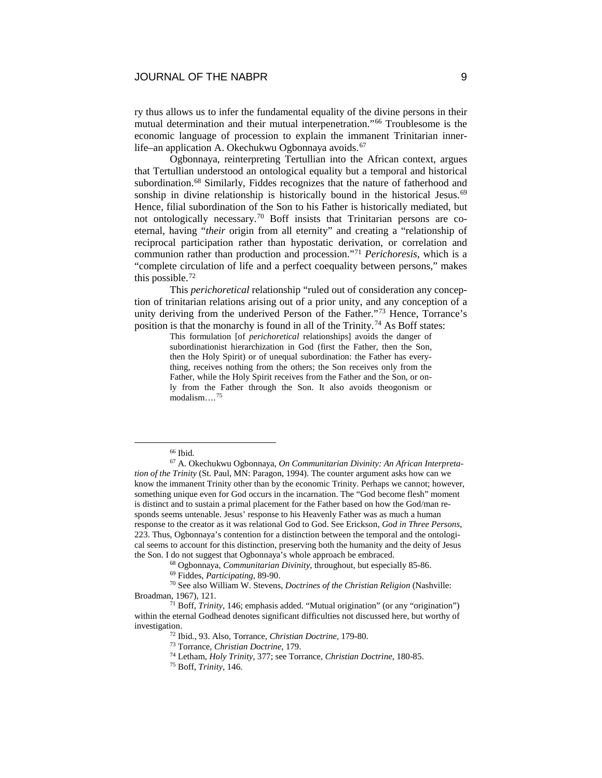# JOURNAL OF THE NABPR 9

ry thus allows us to infer the fundamental equality of the divine persons in their mutual determination and their mutual interpenetration."[66](#page-9-0) Troublesome is the economic language of procession to explain the immanent Trinitarian inner-life–an application A. Okechukwu Ogbonnaya avoids.<sup>[67](#page-9-1)</sup>

Ogbonnaya, reinterpreting Tertullian into the African context, argues that Tertullian understood an ontological equality but a temporal and historical subordination.<sup>[68](#page-9-2)</sup> Similarly, Fiddes recognizes that the nature of fatherhood and sonship in divine relationship is historically bound in the historical Jesus.<sup>[69](#page-9-3)</sup> Hence, filial subordination of the Son to his Father is historically mediated, but not ontologically necessary.[70](#page-9-4) Boff insists that Trinitarian persons are coeternal, having "*their* origin from all eternity" and creating a "relationship of reciprocal participation rather than hypostatic derivation, or correlation and communion rather than production and procession."[71](#page-9-5) *Perichoresis*, which is a "complete circulation of life and a perfect coequality between persons," makes this possible.[72](#page-9-6)

This *perichoretical* relationship "ruled out of consideration any conception of trinitarian relations arising out of a prior unity, and any conception of a unity deriving from the underived Person of the Father."[73](#page-9-7) Hence, Torrance's position is that the monarchy is found in all of the Trinity.<sup>[74](#page-9-8)</sup> As Boff states:

> This formulation [of *perichoretical* relationships] avoids the danger of subordinationist hierarchization in God (first the Father, then the Son, then the Holy Spirit) or of unequal subordination: the Father has everything, receives nothing from the others; the Son receives only from the Father, while the Holy Spirit receives from the Father and the Son, or only from the Father through the Son. It also avoids theogonism or modalism….[75](#page-9-9)

<sup>&</sup>lt;sup>66</sup> Ibid.

<span id="page-9-1"></span><span id="page-9-0"></span><sup>67</sup> A. Okechukwu Ogbonnaya, *On Communitarian Divinity: An African Interpretation of the Trinity* (St. Paul, MN: Paragon, 1994). The counter argument asks how can we know the immanent Trinity other than by the economic Trinity. Perhaps we cannot; however, something unique even for God occurs in the incarnation. The "God become flesh" moment is distinct and to sustain a primal placement for the Father based on how the God/man responds seems untenable. Jesus' response to his Heavenly Father was as much a human response to the creator as it was relational God to God. See Erickson, *God in Three Persons*, 223. Thus, Ogbonnaya's contention for a distinction between the temporal and the ontological seems to account for this distinction, preserving both the humanity and the deity of Jesus the Son. I do not suggest that Ogbonnaya's whole approach be embraced.

<sup>68</sup> Ogbonnaya, *Communitarian Divinity*, throughout, but especially 85-86.

<sup>69</sup> Fiddes, *Participating*, 89-90.

<span id="page-9-4"></span><span id="page-9-3"></span><span id="page-9-2"></span><sup>70</sup> See also William W. Stevens, *Doctrines of the Christian Religion* (Nashville: Broadman, 1967), 121.

<span id="page-9-9"></span><span id="page-9-8"></span><span id="page-9-7"></span><span id="page-9-6"></span><span id="page-9-5"></span><sup>71</sup> Boff, *Trinity*, 146; emphasis added. "Mutual origination" (or any "origination") within the eternal Godhead denotes significant difficulties not discussed here, but worthy of investigation.

<sup>72</sup> Ibid., 93. Also, Torrance, *Christian Doctrine*, 179-80. 73 Torrance, *Christian Doctrine*, 179.

<sup>74</sup> Letham, *Holy Trinity*, 377; see Torrance, *Christian Doctrine*, 180-85.

<sup>75</sup> Boff, *Trinity*, 146.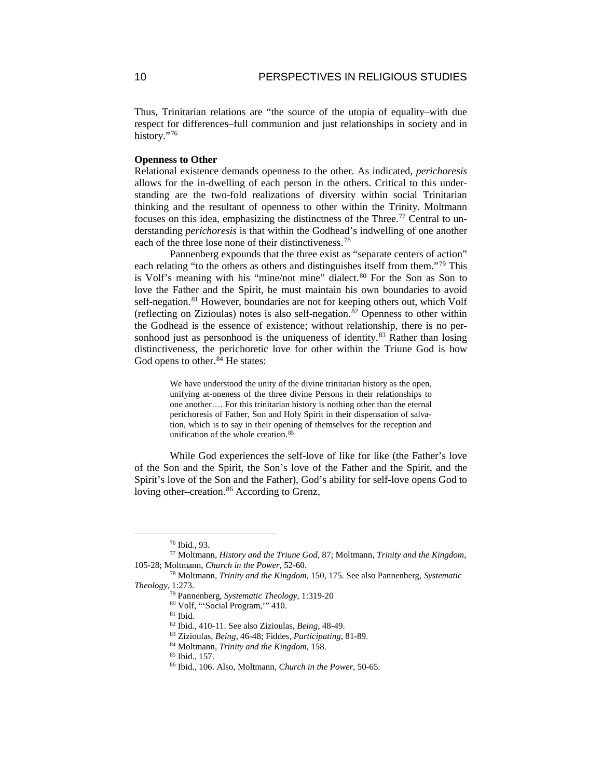Thus, Trinitarian relations are "the source of the utopia of equality–with due respect for differences–full communion and just relationships in society and in history."[76](#page-10-0)

# **Openness to Other**

Relational existence demands openness to the other. As indicated, *perichoresis* allows for the in-dwelling of each person in the others. Critical to this understanding are the two-fold realizations of diversity within social Trinitarian thinking and the resultant of openness to other within the Trinity. Moltmann focuses on this idea, emphasizing the distinctness of the Three.<sup>[77](#page-10-1)</sup> Central to understanding *perichoresis* is that within the Godhead's indwelling of one another each of the three lose none of their distinctiveness.<sup>[78](#page-10-2)</sup>

Pannenberg expounds that the three exist as "separate centers of action" each relating "to the others as others and distinguishes itself from them."[79](#page-10-3) This is Volf's meaning with his "mine/not mine" dialect.<sup>[80](#page-10-4)</sup> For the Son as Son to love the Father and the Spirit, he must maintain his own boundaries to avoid self-negation.<sup>[81](#page-10-5)</sup> However, boundaries are not for keeping others out, which Volf (reflecting on Zizioulas) notes is also self-negation.[82](#page-10-6) Openness to other within the Godhead is the essence of existence; without relationship, there is no personhood just as personhood is the uniqueness of identity. $83$  Rather than losing distinctiveness, the perichoretic love for other within the Triune God is how God opens to other.<sup>[84](#page-10-8)</sup> He states:

> We have understood the unity of the divine trinitarian history as the open, unifying at-oneness of the three divine Persons in their relationships to one another…. For this trinitarian history is nothing other than the eternal perichoresis of Father, Son and Holy Spirit in their dispensation of salvation, which is to say in their opening of themselves for the reception and unification of the whole creation.<sup>[85](#page-10-9)</sup>

While God experiences the self-love of like for like (the Father's love of the Son and the Spirit, the Son's love of the Father and the Spirit, and the Spirit's love of the Son and the Father), God's ability for self-love opens God to loving other–creation.<sup>[86](#page-10-10)</sup> According to Grenz,

 <sup>76</sup> Ibid., 93.

<span id="page-10-1"></span><span id="page-10-0"></span><sup>77</sup> Moltmann, *History and the Triune God*, 87; Moltmann, *Trinity and the Kingdom*, 105-28; Moltmann, *Church in the Power*, 52-60.

<sup>78</sup> Moltmann, *Trinity and the Kingdom*, 150, 175. See also Pannenberg, *Systematic* 

<span id="page-10-10"></span><span id="page-10-9"></span><span id="page-10-8"></span><span id="page-10-7"></span><span id="page-10-6"></span><span id="page-10-5"></span><span id="page-10-4"></span><span id="page-10-3"></span><span id="page-10-2"></span>*Theology*, 1:273.

<sup>79</sup> Pannenberg, *Systematic Theology*, 1:319-20

<sup>80</sup> Volf, "'Social Program,'" 410.

<sup>81</sup> Ibid.

<sup>82</sup> Ibid., 410-11. See also Zizioulas, *Being*, 48-49.

<sup>83</sup> Zizioulas, *Being*, 46-48; Fiddes, *Participating*, 81-89.

<sup>84</sup> Moltmann, *Trinity and the Kingdom*, 158.

<sup>85</sup> Ibid., 157.

<sup>86</sup> Ibid., 106. Also, Moltmann, *Church in the Power*, 50-65.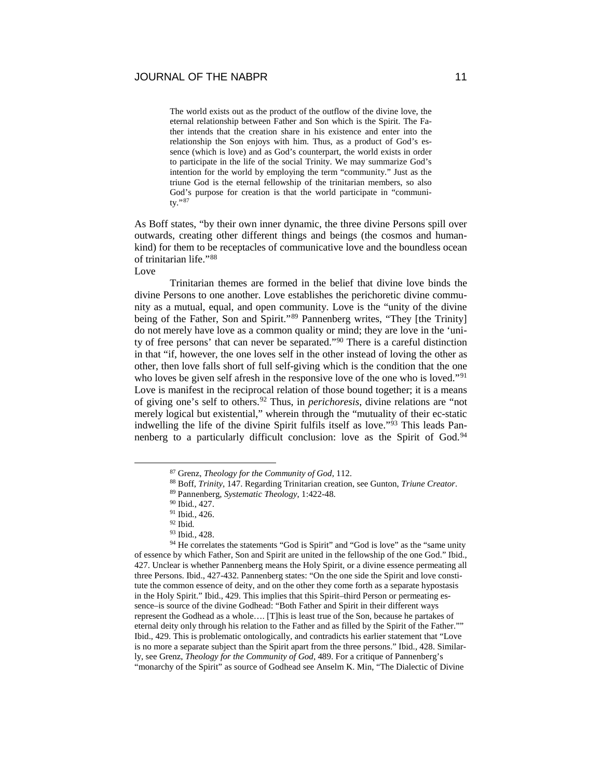The world exists out as the product of the outflow of the divine love, the eternal relationship between Father and Son which is the Spirit. The Father intends that the creation share in his existence and enter into the relationship the Son enjoys with him. Thus, as a product of God's essence (which is love) and as God's counterpart, the world exists in order to participate in the life of the social Trinity. We may summarize God's intention for the world by employing the term "community." Just as the triune God is the eternal fellowship of the trinitarian members, so also God's purpose for creation is that the world participate in "community."[87](#page-11-0)

As Boff states, "by their own inner dynamic, the three divine Persons spill over outwards, creating other different things and beings (the cosmos and humankind) for them to be receptacles of communicative love and the boundless ocean of trinitarian life."[88](#page-11-1)

Love

Trinitarian themes are formed in the belief that divine love binds the divine Persons to one another. Love establishes the perichoretic divine community as a mutual, equal, and open community. Love is the "unity of the divine being of the Father, Son and Spirit."<sup>[89](#page-11-2)</sup> Pannenberg writes, "They [the Trinity] do not merely have love as a common quality or mind; they are love in the 'unity of free persons' that can never be separated.["90](#page-11-3) There is a careful distinction in that "if, however, the one loves self in the other instead of loving the other as other, then love falls short of full self-giving which is the condition that the one who loves be given self afresh in the responsive love of the one who is loved."<sup>[91](#page-11-4)</sup> Love is manifest in the reciprocal relation of those bound together; it is a means of giving one's self to others[.92](#page-11-5) Thus, in *perichoresis*, divine relations are "not merely logical but existential," wherein through the "mutuality of their ec-static indwelling the life of the divine Spirit fulfils itself as love."[93](#page-11-6) This leads Pan-nenberg to a particularly difficult conclusion: love as the Spirit of God.<sup>[94](#page-11-7)</sup>

 <sup>87</sup> Grenz, *Theology for the Community of God*, 112.

<sup>88</sup> Boff, *Trinity*, 147. Regarding Trinitarian creation, see Gunton, *Triune Creator*.

<sup>89</sup> Pannenberg, *Systematic Theology*, 1:422-48.

<sup>90</sup> Ibid., 427.

<sup>91</sup> Ibid., 426.

<sup>92</sup> Ibid.

<sup>93</sup> Ibid., 428.

<span id="page-11-7"></span><span id="page-11-6"></span><span id="page-11-5"></span><span id="page-11-4"></span><span id="page-11-3"></span><span id="page-11-2"></span><span id="page-11-1"></span><span id="page-11-0"></span><sup>&</sup>lt;sup>94</sup> He correlates the statements "God is Spirit" and "God is love" as the "same unity of essence by which Father, Son and Spirit are united in the fellowship of the one God." Ibid., 427. Unclear is whether Pannenberg means the Holy Spirit, or a divine essence permeating all three Persons. Ibid., 427-432. Pannenberg states: "On the one side the Spirit and love constitute the common essence of deity, and on the other they come forth as a separate hypostasis in the Holy Spirit." Ibid., 429. This implies that this Spirit–third Person or permeating essence–is source of the divine Godhead: "Both Father and Spirit in their different ways represent the Godhead as a whole…. [T]his is least true of the Son, because he partakes of eternal deity only through his relation to the Father and as filled by the Spirit of the Father."" Ibid., 429. This is problematic ontologically, and contradicts his earlier statement that "Love is no more a separate subject than the Spirit apart from the three persons." Ibid., 428. Similarly, see Grenz, *Theology for the Community of God*, 489. For a critique of Pannenberg's "monarchy of the Spirit" as source of Godhead see Anselm K. Min, "The Dialectic of Divine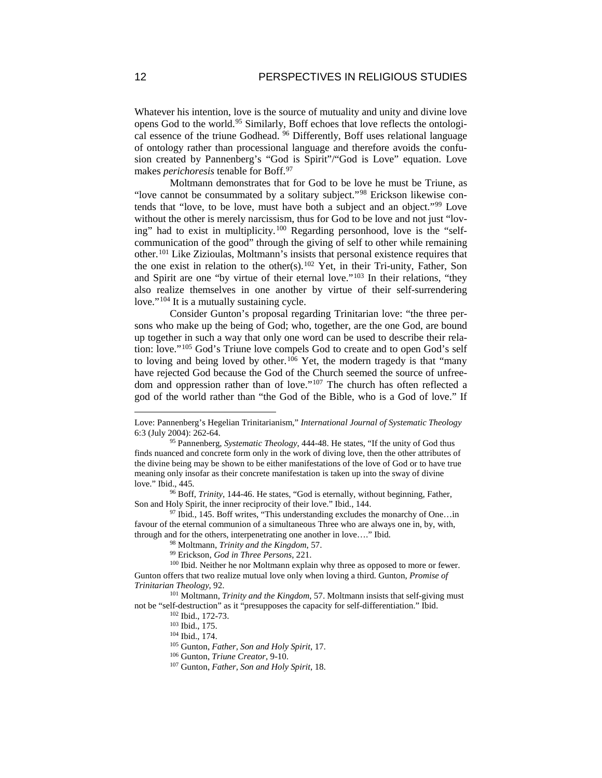Whatever his intention, love is the source of mutuality and unity and divine love opens God to the world.<sup>[95](#page-12-0)</sup> Similarly, Boff echoes that love reflects the ontologi-cal essence of the triune Godhead. <sup>[96](#page-12-1)</sup> Differently, Boff uses relational language of ontology rather than processional language and therefore avoids the confusion created by Pannenberg's "God is Spirit"/"God is Love" equation. Love makes *perichoresis* tenable for Boff.[97](#page-12-2)

Moltmann demonstrates that for God to be love he must be Triune, as "love cannot be consummated by a solitary subject."[98](#page-12-3) Erickson likewise contends that "love, to be love, must have both a subject and an object."[99](#page-12-4) Love without the other is merely narcissism, thus for God to be love and not just "loving" had to exist in multiplicity.[100](#page-12-5) Regarding personhood, love is the "selfcommunication of the good" through the giving of self to other while remaining other.[101](#page-12-6) Like Zizioulas, Moltmann's insists that personal existence requires that the one exist in relation to the other(s).<sup>[102](#page-12-7)</sup> Yet, in their Tri-unity, Father, Son and Spirit are one "by virtue of their eternal love."<sup>[103](#page-12-8)</sup> In their relations, "they also realize themselves in one another by virtue of their self-surrendering love."<sup>[104](#page-12-9)</sup> It is a mutually sustaining cycle.

Consider Gunton's proposal regarding Trinitarian love: "the three persons who make up the being of God; who, together, are the one God, are bound up together in such a way that only one word can be used to describe their relation: love."[105](#page-12-10) God's Triune love compels God to create and to open God's self to loving and being loved by other.<sup>[106](#page-12-11)</sup> Yet, the modern tragedy is that "many have rejected God because the God of the Church seemed the source of unfreedom and oppression rather than of love."[107](#page-12-12) The church has often reflected a god of the world rather than "the God of the Bible, who is a God of love." If

Love: Pannenberg's Hegelian Trinitarianism," *International Journal of Systematic Theology* 6:3 (July 2004): 262-64.

<span id="page-12-0"></span><sup>95</sup> Pannenberg, *Systematic Theology*, 444-48. He states, "If the unity of God thus finds nuanced and concrete form only in the work of diving love, then the other attributes of the divine being may be shown to be either manifestations of the love of God or to have true meaning only insofar as their concrete manifestation is taken up into the sway of divine love." Ibid., 445.

<span id="page-12-1"></span><sup>96</sup> Boff, *Trinity*, 144-46. He states, "God is eternally, without beginning, Father, Son and Holy Spirit, the inner reciprocity of their love." Ibid., 144.

<span id="page-12-2"></span> $97$  Ibid., 145. Boff writes, "This understanding excludes the monarchy of One...in favour of the eternal communion of a simultaneous Three who are always one in, by, with, through and for the others, interpenetrating one another in love…." Ibid.

<sup>98</sup> Moltmann, *Trinity and the Kingdom*, 57. 99 Erickson, *God in Three Persons*, 221.

<span id="page-12-5"></span><span id="page-12-4"></span><span id="page-12-3"></span><sup>&</sup>lt;sup>100</sup> Ibid. Neither he nor Moltmann explain why three as opposed to more or fewer. Gunton offers that two realize mutual love only when loving a third. Gunton, *Promise of Trinitarian Theology*, 92.

<span id="page-12-12"></span><span id="page-12-11"></span><span id="page-12-10"></span><span id="page-12-9"></span><span id="page-12-8"></span><span id="page-12-7"></span><span id="page-12-6"></span><sup>101</sup> Moltmann, *Trinity and the Kingdom*, 57. Moltmann insists that self-giving must not be "self-destruction" as it "presupposes the capacity for self-differentiation." Ibid.

<sup>102</sup> Ibid., 172-73.

<sup>103</sup> Ibid., 175.

<sup>104</sup> Ibid., 174.

<sup>105</sup> Gunton, *Father, Son and Holy Spirit*, 17.

<sup>106</sup> Gunton, *Triune Creator*, 9-10.

<sup>107</sup> Gunton, *Father, Son and Holy Spirit*, 18.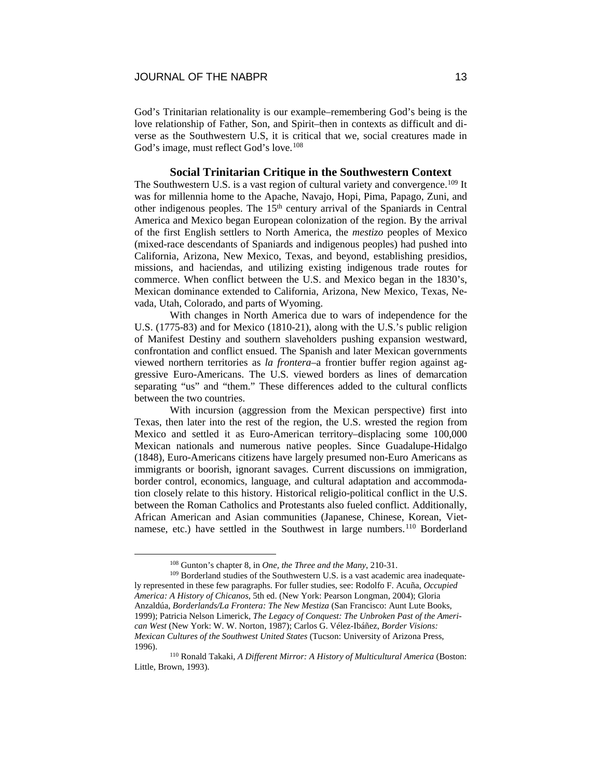God's Trinitarian relationality is our example–remembering God's being is the love relationship of Father, Son, and Spirit–then in contexts as difficult and diverse as the Southwestern U.S, it is critical that we, social creatures made in God's image, must reflect God's love.<sup>[108](#page-13-0)</sup>

# **Social Trinitarian Critique in the Southwestern Context**

The Southwestern U.S. is a vast region of cultural variety and convergence.<sup>[109](#page-13-1)</sup> It was for millennia home to the Apache, Navajo, Hopi, Pima, Papago, Zuni, and other indigenous peoples. The 15<sup>th</sup> century arrival of the Spaniards in Central America and Mexico began European colonization of the region. By the arrival of the first English settlers to North America, the *mestizo* peoples of Mexico (mixed-race descendants of Spaniards and indigenous peoples) had pushed into California, Arizona, New Mexico, Texas, and beyond, establishing presidios, missions, and haciendas, and utilizing existing indigenous trade routes for commerce. When conflict between the U.S. and Mexico began in the 1830's, Mexican dominance extended to California, Arizona, New Mexico, Texas, Nevada, Utah, Colorado, and parts of Wyoming.

With changes in North America due to wars of independence for the U.S. (1775-83) and for Mexico (1810-21), along with the U.S.'s public religion of Manifest Destiny and southern slaveholders pushing expansion westward, confrontation and conflict ensued. The Spanish and later Mexican governments viewed northern territories as *la frontera*–a frontier buffer region against aggressive Euro-Americans. The U.S. viewed borders as lines of demarcation separating "us" and "them." These differences added to the cultural conflicts between the two countries.

With incursion (aggression from the Mexican perspective) first into Texas, then later into the rest of the region, the U.S. wrested the region from Mexico and settled it as Euro-American territory–displacing some 100,000 Mexican nationals and numerous native peoples. Since Guadalupe-Hidalgo (1848), Euro-Americans citizens have largely presumed non-Euro Americans as immigrants or boorish, ignorant savages. Current discussions on immigration, border control, economics, language, and cultural adaptation and accommodation closely relate to this history. Historical religio-political conflict in the U.S. between the Roman Catholics and Protestants also fueled conflict. Additionally, African American and Asian communities (Japanese, Chinese, Korean, Viet-namese, etc.) have settled in the Southwest in large numbers.<sup>[110](#page-13-2)</sup> Borderland

 <sup>108</sup> Gunton's chapter 8, in *One, the Three and the Many*, 210-31.

<span id="page-13-1"></span><span id="page-13-0"></span><sup>&</sup>lt;sup>109</sup> Borderland studies of the Southwestern U.S. is a vast academic area inadequately represented in these few paragraphs. For fuller studies, see: Rodolfo F. Acuña, *Occupied America: A History of Chicanos*, 5th ed. (New York: Pearson Longman, 2004); Gloria Anzaldúa, *Borderlands/La Frontera: The New Mestiza* (San Francisco: Aunt Lute Books, 1999); Patricia Nelson Limerick, *The Legacy of Conquest: The Unbroken Past of the American West* (New York: W. W. Norton, 1987); Carlos G. Vélez-Ibáñez, *Border Visions: Mexican Cultures of the Southwest United States* (Tucson: University of Arizona Press, 1996).

<span id="page-13-2"></span><sup>110</sup> Ronald Takaki, *A Different Mirror: A History of Multicultural America* (Boston: Little, Brown, 1993).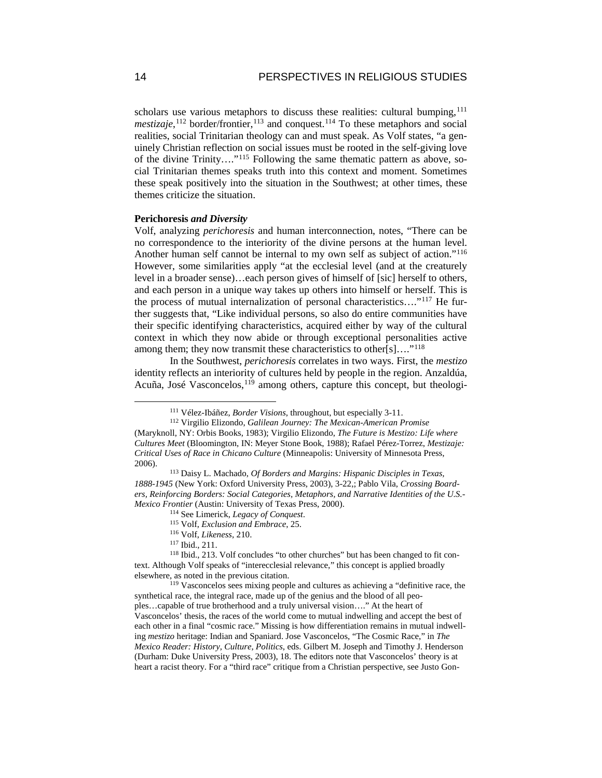scholars use various metaphors to discuss these realities: cultural bumping,<sup>[111](#page-14-0)</sup> *mestizaje*,<sup>[112](#page-14-1)</sup> border/frontier,<sup>[113](#page-14-2)</sup> and conquest.<sup>[114](#page-14-3)</sup> To these metaphors and social realities, social Trinitarian theology can and must speak. As Volf states, "a genuinely Christian reflection on social issues must be rooted in the self-giving love of the divine Trinity…."[115](#page-14-4) Following the same thematic pattern as above, social Trinitarian themes speaks truth into this context and moment. Sometimes these speak positively into the situation in the Southwest; at other times, these themes criticize the situation.

## **Perichoresis** *and Diversity*

Volf, analyzing *perichoresis* and human interconnection, notes, "There can be no correspondence to the interiority of the divine persons at the human level. Another human self cannot be internal to my own self as subject of action."[116](#page-14-5) However, some similarities apply "at the ecclesial level (and at the creaturely level in a broader sense)…each person gives of himself of [sic] herself to others, and each person in a unique way takes up others into himself or herself. This is the process of mutual internalization of personal characteristics…."[117](#page-14-6) He further suggests that, "Like individual persons, so also do entire communities have their specific identifying characteristics, acquired either by way of the cultural context in which they now abide or through exceptional personalities active among them; they now transmit these characteristics to other[s]...."<sup>[118](#page-14-7)</sup>

In the Southwest, *perichoresis* correlates in two ways. First, the *mestizo* identity reflects an interiority of cultures held by people in the region. Anzaldúa, Acuña, José Vasconcelos,[119](#page-14-8) among others, capture this concept, but theologi-

 <sup>111</sup> Vélez-Ibáñez, *Border Visions*, throughout, but especially 3-11.

<span id="page-14-1"></span><span id="page-14-0"></span><sup>112</sup> Virgilio Elizondo, *Galilean Journey: The Mexican-American Promise* (Maryknoll, NY: Orbis Books, 1983); Virgilio Elizondo, *The Future is Mestizo: Life where Cultures Meet* (Bloomington, IN: Meyer Stone Book, 1988); Rafael Pérez-Torrez, *Mestizaje: Critical Uses of Race in Chicano Culture* (Minneapolis: University of Minnesota Press, 2006).

<span id="page-14-2"></span><sup>113</sup> Daisy L. Machado, *Of Borders and Margins: Hispanic Disciples in Texas, 1888-1945* (New York: Oxford University Press, 2003), 3-22,; Pablo Vila, *Crossing Boarders, Reinforcing Borders: Social Categories, Metaphors, and Narrative Identities of the U.S.- Mexico Frontier* (Austin: University of Texas Press, 2000).

<sup>114</sup> See Limerick, *Legacy of Conquest*.

<sup>115</sup> Volf, *Exclusion and Embrace*, 25.

<sup>116</sup> Volf, *Likeness*, 210.

<sup>117</sup> Ibid., 211.

<span id="page-14-7"></span><span id="page-14-6"></span><span id="page-14-5"></span><span id="page-14-4"></span><span id="page-14-3"></span><sup>118</sup> Ibid., 213. Volf concludes "to other churches" but has been changed to fit context. Although Volf speaks of "interecclesial relevance," this concept is applied broadly elsewhere, as noted in the previous citation.

<span id="page-14-8"></span><sup>119</sup> Vasconcelos sees mixing people and cultures as achieving a "definitive race, the synthetical race, the integral race, made up of the genius and the blood of all peoples…capable of true brotherhood and a truly universal vision…." At the heart of Vasconcelos' thesis, the races of the world come to mutual indwelling and accept the best of each other in a final "cosmic race." Missing is how differentiation remains in mutual indwelling *mestizo* heritage: Indian and Spaniard. Jose Vasconcelos, "The Cosmic Race," in *The Mexico Reader: History, Culture, Politics*, eds. Gilbert M. Joseph and Timothy J. Henderson (Durham: Duke University Press, 2003), 18. The editors note that Vasconcelos' theory is at heart a racist theory. For a "third race" critique from a Christian perspective, see Justo Gon-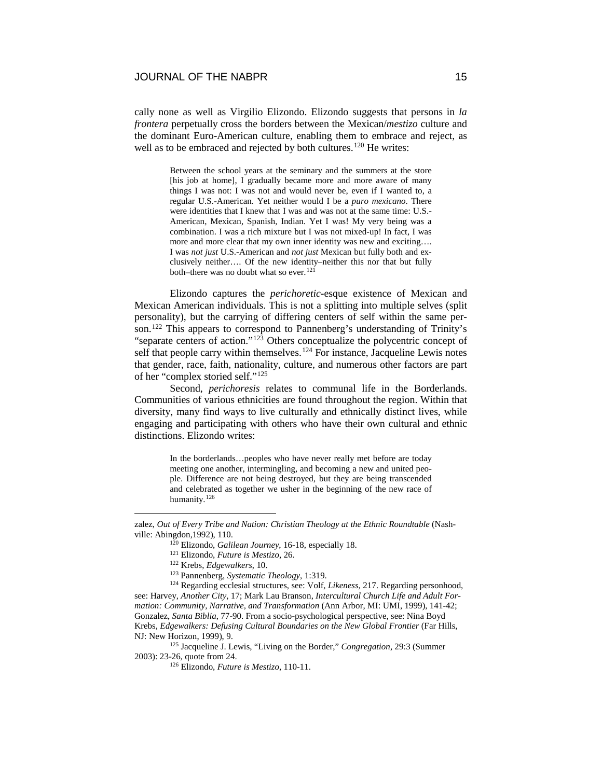cally none as well as Virgilio Elizondo. Elizondo suggests that persons in *la frontera* perpetually cross the borders between the Mexican/*mestizo* culture and the dominant Euro-American culture, enabling them to embrace and reject, as well as to be embraced and rejected by both cultures.<sup>[120](#page-15-0)</sup> He writes:

> Between the school years at the seminary and the summers at the store [his job at home], I gradually became more and more aware of many things I was not: I was not and would never be, even if I wanted to, a regular U.S.-American. Yet neither would I be a *puro mexicano*. There were identities that I knew that I was and was not at the same time: U.S.- American, Mexican, Spanish, Indian. Yet I was! My very being was a combination. I was a rich mixture but I was not mixed-up! In fact, I was more and more clear that my own inner identity was new and exciting…. I was *not just* U.S.-American and *not just* Mexican but fully both and exclusively neither…. Of the new identity–neither this nor that but fully both–there was no doubt what so ever.<sup>[121](#page-15-1)</sup>

Elizondo captures the *perichoretic-*esque existence of Mexican and Mexican American individuals. This is not a splitting into multiple selves (split personality), but the carrying of differing centers of self within the same per-son.<sup>[122](#page-15-2)</sup> This appears to correspond to Pannenberg's understanding of Trinity's "separate centers of action."[123](#page-15-3) Others conceptualize the polycentric concept of self that people carry within themselves.<sup>[124](#page-15-4)</sup> For instance, Jacqueline Lewis notes that gender, race, faith, nationality, culture, and numerous other factors are part of her "complex storied self."[125](#page-15-5)

Second, *perichoresis* relates to communal life in the Borderlands. Communities of various ethnicities are found throughout the region. Within that diversity, many find ways to live culturally and ethnically distinct lives, while engaging and participating with others who have their own cultural and ethnic distinctions. Elizondo writes:

> In the borderlands…peoples who have never really met before are today meeting one another, intermingling, and becoming a new and united people. Difference are not being destroyed, but they are being transcended and celebrated as together we usher in the beginning of the new race of humanity.<sup>[126](#page-15-6)</sup>

<span id="page-15-4"></span><span id="page-15-3"></span><span id="page-15-2"></span><sup>124</sup> Regarding ecclesial structures, see: Volf, *Likeness*, 217. Regarding personhood, see: Harvey, *Another City*, 17; Mark Lau Branson, *Intercultural Church Life and Adult Formation: Community, Narrative, and Transformation* (Ann Arbor, MI: UMI, 1999), 141-42; Gonzalez, *Santa Biblia*, 77-90. From a socio-psychological perspective, see: Nina Boyd Krebs, *Edgewalkers: Defusing Cultural Boundaries on the New Global Frontier* (Far Hills, NJ: New Horizon, 1999), 9.

<span id="page-15-6"></span><span id="page-15-5"></span><sup>125</sup> Jacqueline J. Lewis, "Living on the Border," *Congregation*, 29:3 (Summer 2003): 23-26, quote from 24.

<span id="page-15-1"></span><span id="page-15-0"></span>zalez, *Out of Every Tribe and Nation: Christian Theology at the Ethnic Roundtable* (Nashville: Abingdon,1992), 110.

<sup>120</sup> Elizondo, *Galilean Journey*, 16-18, especially 18.

<sup>121</sup> Elizondo, *Future is Mestizo*, 26.

<sup>122</sup> Krebs, *Edgewalkers*, 10.

<sup>123</sup> Pannenberg, *Systematic Theology*, 1:319.

<sup>126</sup> Elizondo, *Future is Mestizo*, 110-11.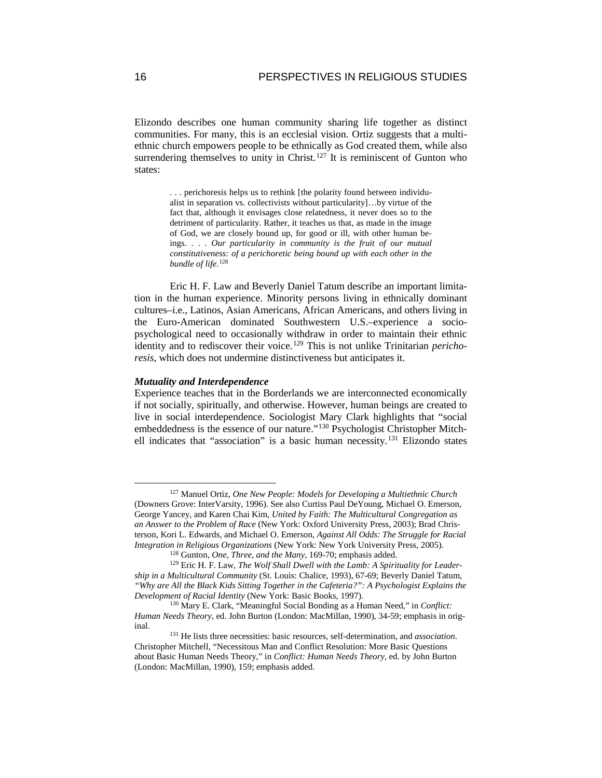Elizondo describes one human community sharing life together as distinct communities. For many, this is an ecclesial vision. Ortiz suggests that a multiethnic church empowers people to be ethnically as God created them, while also surrendering themselves to unity in Christ.<sup>[127](#page-16-0)</sup> It is reminiscent of Gunton who states:

> . . . perichoresis helps us to rethink [the polarity found between individualist in separation vs. collectivists without particularity]…by virtue of the fact that, although it envisages close relatedness, it never does so to the detriment of particularity. Rather, it teaches us that, as made in the image of God, we are closely bound up, for good or ill, with other human beings. . . . *Our particularity in community is the fruit of our mutual constitutiveness: of a perichoretic being bound up with each other in the bundle of life*. [128](#page-16-1)

Eric H. F. Law and Beverly Daniel Tatum describe an important limitation in the human experience. Minority persons living in ethnically dominant cultures–i.e., Latinos, Asian Americans, African Americans, and others living in the Euro-American dominated Southwestern U.S.–experience a sociopsychological need to occasionally withdraw in order to maintain their ethnic identity and to rediscover their voice.[129](#page-16-2) This is not unlike Trinitarian *perichoresis*, which does not undermine distinctiveness but anticipates it.

#### *Mutuality and Interdependence*

Experience teaches that in the Borderlands we are interconnected economically if not socially, spiritually, and otherwise. However, human beings are created to live in social interdependence. Sociologist Mary Clark highlights that "social embeddedness is the essence of our nature."[130](#page-16-3) Psychologist Christopher Mitch-ell indicates that "association" is a basic human necessity.<sup>[131](#page-16-4)</sup> Elizondo states

<span id="page-16-0"></span> <sup>127</sup> Manuel Ortiz, *One New People: Models for Developing a Multiethnic Church* (Downers Grove: InterVarsity, 1996). See also Curtiss Paul DeYoung, Michael O. Emerson, George Yancey, and Karen Chai Kim, *United by Faith: The Multicultural Congregation as an Answer to the Problem of Race* (New York: Oxford University Press, 2003); Brad Christerson, Kori L. Edwards, and Michael O. Emerson, *Against All Odds: The Struggle for Racial Integration in Religious Organizations* (New York: New York University Press, 2005).

<sup>128</sup> Gunton, *One, Three, and the Many*, 169-70; emphasis added.

<span id="page-16-2"></span><span id="page-16-1"></span><sup>129</sup> Eric H. F. Law, *The Wolf Shall Dwell with the Lamb: A Spirituality for Leadership in a Multicultural Community* (St. Louis: Chalice, 1993), 67-69; Beverly Daniel Tatum, *"Why are All the Black Kids Sitting Together in the Cafeteria?": A Psychologist Explains the Development of Racial Identity* (New York: Basic Books, 1997).

<span id="page-16-3"></span><sup>130</sup> Mary E. Clark, "Meaningful Social Bonding as a Human Need," in *Conflict: Human Needs Theory*, ed. John Burton (London: MacMillan, 1990), 34-59; emphasis in original.

<span id="page-16-4"></span><sup>131</sup> He lists three necessities: basic resources, self-determination, and *association*. Christopher Mitchell, "Necessitous Man and Conflict Resolution: More Basic Questions about Basic Human Needs Theory," in *Conflict: Human Needs Theory*, ed. by John Burton (London: MacMillan, 1990), 159; emphasis added.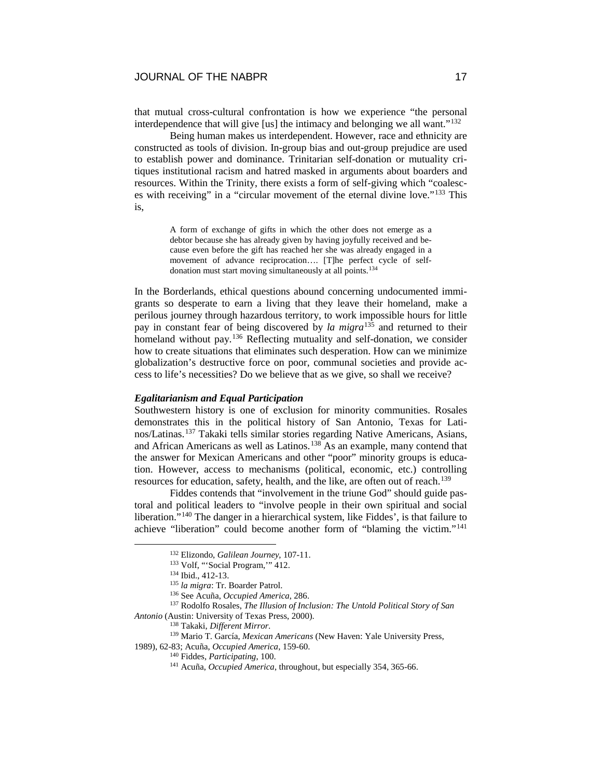that mutual cross-cultural confrontation is how we experience "the personal interdependence that will give [us] the intimacy and belonging we all want."[132](#page-17-0)

Being human makes us interdependent. However, race and ethnicity are constructed as tools of division. In-group bias and out-group prejudice are used to establish power and dominance. Trinitarian self-donation or mutuality critiques institutional racism and hatred masked in arguments about boarders and resources. Within the Trinity, there exists a form of self-giving which "coalesces with receiving" in a "circular movement of the eternal divine love."[133](#page-17-1) This is,

> A form of exchange of gifts in which the other does not emerge as a debtor because she has already given by having joyfully received and because even before the gift has reached her she was already engaged in a movement of advance reciprocation…. [T]he perfect cycle of selfdonation must start moving simultaneously at all points.[134](#page-17-2)

In the Borderlands, ethical questions abound concerning undocumented immigrants so desperate to earn a living that they leave their homeland, make a perilous journey through hazardous territory, to work impossible hours for little pay in constant fear of being discovered by *la migra*[135](#page-17-3) and returned to their homeland without pay.<sup>[136](#page-17-4)</sup> Reflecting mutuality and self-donation, we consider how to create situations that eliminates such desperation. How can we minimize globalization's destructive force on poor, communal societies and provide access to life's necessities? Do we believe that as we give, so shall we receive?

### *Egalitarianism and Equal Participation*

Southwestern history is one of exclusion for minority communities. Rosales demonstrates this in the political history of San Antonio, Texas for Latinos/Latinas.[137](#page-17-5) Takaki tells similar stories regarding Native Americans, Asians, and African Americans as well as Latinos.<sup>[138](#page-17-6)</sup> As an example, many contend that the answer for Mexican Americans and other "poor" minority groups is education. However, access to mechanisms (political, economic, etc.) controlling resources for education, safety, health, and the like, are often out of reach.<sup>139</sup>

Fiddes contends that "involvement in the triune God" should guide pastoral and political leaders to "involve people in their own spiritual and social liberation."[140](#page-17-8) The danger in a hierarchical system, like Fiddes', is that failure to achieve "liberation" could become another form of "blaming the victim."[141](#page-17-9)

<span id="page-17-6"></span><span id="page-17-5"></span><span id="page-17-4"></span><span id="page-17-3"></span><span id="page-17-2"></span><span id="page-17-1"></span><span id="page-17-0"></span><sup>137</sup> Rodolfo Rosales, *The Illusion of Inclusion: The Untold Political Story of San Antonio* (Austin: University of Texas Press, 2000).

<sup>138</sup> Takaki, *Different Mirror.*

 <sup>132</sup> Elizondo, *Galilean Journey*, 107-11.

<sup>133</sup> Volf, "'Social Program,'" 412.

<sup>134</sup> Ibid., 412-13.

<sup>135</sup> *la migra*: Tr. Boarder Patrol.

<sup>136</sup> See Acuña, *Occupied America*, 286.

<span id="page-17-9"></span><span id="page-17-8"></span><span id="page-17-7"></span><sup>139</sup> Mario T. García, *Mexican Americans* (New Haven: Yale University Press, 1989), 62-83; Acuña, *Occupied America*, 159-60.

<sup>140</sup> Fiddes, *Participating*, 100.

<sup>141</sup> Acuña, *Occupied America*, throughout, but especially 354, 365-66.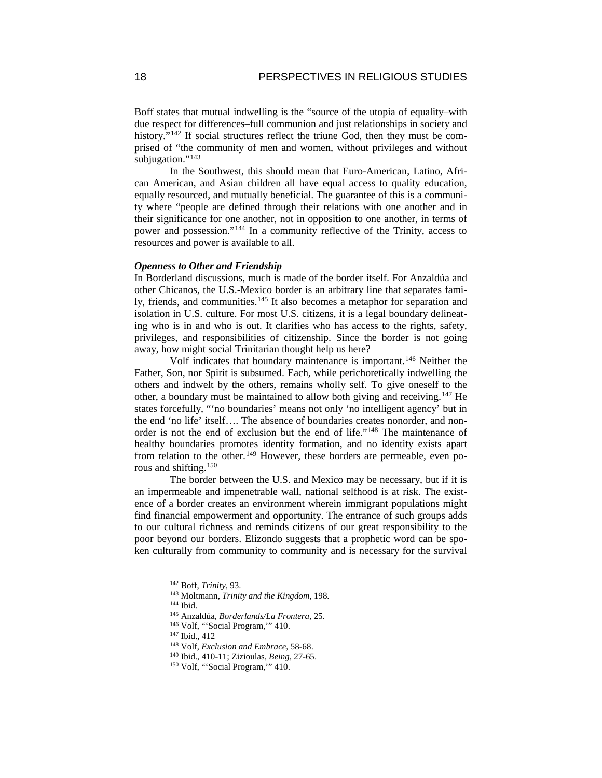Boff states that mutual indwelling is the "source of the utopia of equality–with due respect for differences–full communion and just relationships in society and history."<sup>[142](#page-18-0)</sup> If social structures reflect the triune God, then they must be comprised of "the community of men and women, without privileges and without subjugation."<sup>[143](#page-18-1)</sup>

In the Southwest, this should mean that Euro-American, Latino, African American, and Asian children all have equal access to quality education, equally resourced, and mutually beneficial. The guarantee of this is a community where "people are defined through their relations with one another and in their significance for one another, not in opposition to one another, in terms of power and possession."[144](#page-18-2) In a community reflective of the Trinity, access to resources and power is available to all.

#### *Openness to Other and Friendship*

In Borderland discussions, much is made of the border itself. For Anzaldúa and other Chicanos, the U.S.-Mexico border is an arbitrary line that separates fami-ly, friends, and communities.<sup>[145](#page-18-3)</sup> It also becomes a metaphor for separation and isolation in U.S. culture. For most U.S. citizens, it is a legal boundary delineating who is in and who is out. It clarifies who has access to the rights, safety, privileges, and responsibilities of citizenship. Since the border is not going away, how might social Trinitarian thought help us here?

Volf indicates that boundary maintenance is important.[146](#page-18-4) Neither the Father, Son, nor Spirit is subsumed. Each, while perichoretically indwelling the others and indwelt by the others, remains wholly self. To give oneself to the other, a boundary must be maintained to allow both giving and receiving.[147](#page-18-5) He states forcefully, "'no boundaries' means not only 'no intelligent agency' but in the end 'no life' itself…. The absence of boundaries creates nonorder, and nonorder is not the end of exclusion but the end of life."[148](#page-18-6) The maintenance of healthy boundaries promotes identity formation, and no identity exists apart from relation to the other.<sup>[149](#page-18-7)</sup> However, these borders are permeable, even porous and shifting[.150](#page-18-8)

The border between the U.S. and Mexico may be necessary, but if it is an impermeable and impenetrable wall, national selfhood is at risk. The existence of a border creates an environment wherein immigrant populations might find financial empowerment and opportunity. The entrance of such groups adds to our cultural richness and reminds citizens of our great responsibility to the poor beyond our borders. Elizondo suggests that a prophetic word can be spoken culturally from community to community and is necessary for the survival

<span id="page-18-0"></span> <sup>142</sup> Boff, *Trinity*, 93.

<span id="page-18-1"></span><sup>143</sup> Moltmann, *Trinity and the Kingdom*, 198.

<span id="page-18-2"></span><sup>144</sup> Ibid.

<span id="page-18-3"></span><sup>145</sup> Anzaldúa, *Borderlands/La Frontera*, 25.

<span id="page-18-4"></span><sup>146</sup> Volf, "'Social Program,'" 410.

<span id="page-18-5"></span><sup>147</sup> Ibid., 412

<span id="page-18-6"></span><sup>148</sup> Volf, *Exclusion and Embrace*, 58-68.

<span id="page-18-7"></span><sup>149</sup> Ibid., 410-11; Zizioulas, *Being*, 27-65.

<span id="page-18-8"></span><sup>150</sup> Volf, "'Social Program,'" 410.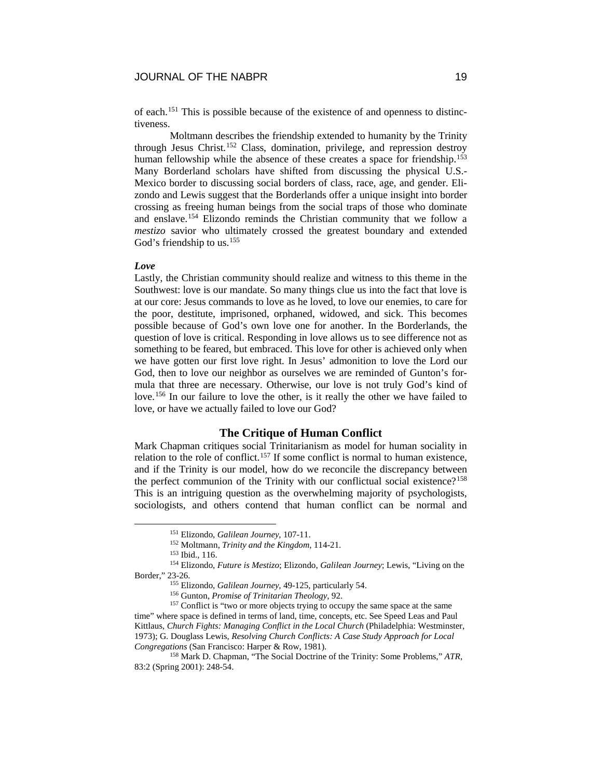of each.[151](#page-19-0) This is possible because of the existence of and openness to distinctiveness.

Moltmann describes the friendship extended to humanity by the Trinity through Jesus Christ.[152](#page-19-1) Class, domination, privilege, and repression destroy human fellowship while the absence of these creates a space for friendship.<sup>[153](#page-19-2)</sup> Many Borderland scholars have shifted from discussing the physical U.S.- Mexico border to discussing social borders of class, race, age, and gender. Elizondo and Lewis suggest that the Borderlands offer a unique insight into border crossing as freeing human beings from the social traps of those who dominate and enslave.[154](#page-19-3) Elizondo reminds the Christian community that we follow a *mestizo* savior who ultimately crossed the greatest boundary and extended God's friendship to us.<sup>[155](#page-19-4)</sup>

## *Love*

Lastly, the Christian community should realize and witness to this theme in the Southwest: love is our mandate. So many things clue us into the fact that love is at our core: Jesus commands to love as he loved, to love our enemies, to care for the poor, destitute, imprisoned, orphaned, widowed, and sick. This becomes possible because of God's own love one for another. In the Borderlands, the question of love is critical. Responding in love allows us to see difference not as something to be feared, but embraced. This love for other is achieved only when we have gotten our first love right. In Jesus' admonition to love the Lord our God, then to love our neighbor as ourselves we are reminded of Gunton's formula that three are necessary. Otherwise, our love is not truly God's kind of love.[156](#page-19-5) In our failure to love the other, is it really the other we have failed to love, or have we actually failed to love our God?

# **The Critique of Human Conflict**

Mark Chapman critiques social Trinitarianism as model for human sociality in relation to the role of conflict.<sup>[157](#page-19-6)</sup> If some conflict is normal to human existence, and if the Trinity is our model, how do we reconcile the discrepancy between the perfect communion of the Trinity with our conflictual social existence?<sup>[158](#page-19-7)</sup> This is an intriguing question as the overwhelming majority of psychologists, sociologists, and others contend that human conflict can be normal and

 <sup>151</sup> Elizondo, *Galilean Journey*, 107-11.

<sup>152</sup> Moltmann, *Trinity and the Kingdom*, 114-21.

<sup>153</sup> Ibid., 116.

<span id="page-19-3"></span><span id="page-19-2"></span><span id="page-19-1"></span><span id="page-19-0"></span><sup>154</sup> Elizondo, *Future is Mestizo*; Elizondo, *Galilean Journey*; Lewis, "Living on the Border," 23-26.

<sup>155</sup> Elizondo, *Galilean Journey*, 49-125, particularly 54.

<sup>156</sup> Gunton, *Promise of Trinitarian Theology*, 92.

<span id="page-19-6"></span><span id="page-19-5"></span><span id="page-19-4"></span><sup>&</sup>lt;sup>157</sup> Conflict is "two or more objects trying to occupy the same space at the same time" where space is defined in terms of land, time, concepts, etc. See Speed Leas and Paul Kittlaus, *Church Fights: Managing Conflict in the Local Church* (Philadelphia: Westminster, 1973); G. Douglass Lewis, *Resolving Church Conflicts: A Case Study Approach for Local Congregations* (San Francisco: Harper & Row, 1981).

<span id="page-19-7"></span><sup>158</sup> Mark D. Chapman, "The Social Doctrine of the Trinity: Some Problems," *ATR*, 83:2 (Spring 2001): 248-54.